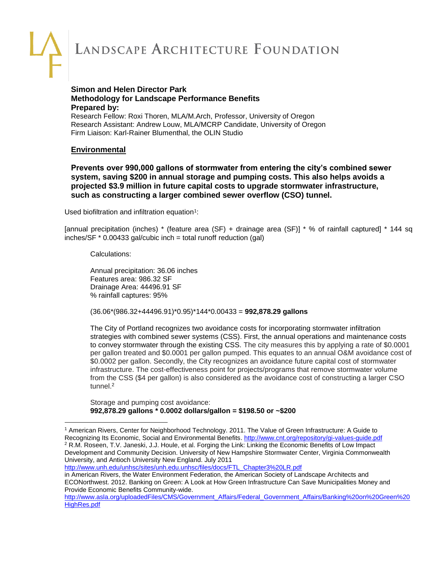### **Simon and Helen Director Park Methodology for Landscape Performance Benefits Prepared by:**

Research Fellow: Roxi Thoren, MLA/M.Arch, Professor, University of Oregon Research Assistant: Andrew Louw, MLA/MCRP Candidate, University of Oregon Firm Liaison: Karl-Rainer Blumenthal, the OLIN Studio

### **Environmental**

**Prevents over 990,000 gallons of stormwater from entering the city's combined sewer system, saving \$200 in annual storage and pumping costs. This also helps avoids a projected \$3.9 million in future capital costs to upgrade stormwater infrastructure, such as constructing a larger combined sewer overflow (CSO) tunnel.**

Used biofiltration and infiltration equation<sup>1</sup>:

[annual precipitation (inches) \* (feature area (SF) + drainage area (SF)] \* % of rainfall captured] \* 144 sq  $inches/SF * 0.00433 gal/cubic inch = total runoff reduction (gal)$ 

Calculations:

Annual precipitation: 36.06 inches Features area: 986.32 SF Drainage Area: 44496.91 SF % rainfall captures: 95%

(36.06\*(986.32+44496.91)\*0.95)\*144\*0.00433 = **992,878.29 gallons**

The City of Portland recognizes two avoidance costs for incorporating stormwater infiltration strategies with combined sewer systems (CSS). First, the annual operations and maintenance costs to convey stormwater through the existing CSS. The city measures this by applying a rate of \$0.0001 per gallon treated and \$0.0001 per gallon pumped. This equates to an annual O&M avoidance cost of \$0.0002 per gallon. Secondly, the City recognizes an avoidance future capital cost of stormwater infrastructure. The cost-effectiveness point for projects/programs that remove stormwater volume from the CSS (\$4 per gallon) is also considered as the avoidance cost of constructing a larger CSO tunnel.<sup>2</sup>

Storage and pumping cost avoidance: **992,878.29 gallons \* 0.0002 dollars/gallon = \$198.50 or ~\$200**

[http://www.unh.edu/unhsc/sites/unh.edu.unhsc/files/docs/FTL\\_Chapter3%20LR.pdf](http://www.unh.edu/unhsc/sites/unh.edu.unhsc/files/docs/FTL_Chapter3%20LR.pdf)

in American Rivers, the Water Environment Federation, the American Society of Landscape Architects and ECONorthwest. 2012. Banking on Green: A Look at How Green Infrastructure Can Save Municipalities Money and Provide Economic Benefits Community-wide.

<sup>1</sup> [American Rivers,](http://www.lafoundation.org/research/landscape-performance-series/toolkit/?author_id=114) [Center for Neighborhood Technology.](http://www.lafoundation.org/research/landscape-performance-series/toolkit/?author_id=33) 2011. The Value of Green Infrastructure: A Guide to Recognizing Its Economic, Social and Environmental Benefits[. http://www.cnt.org/repository/gi-values-guide.pdf](http://www.cnt.org/repository/gi-values-guide.pdf) <sup>2</sup> R.M. Roseen, T.V. Janeski, J.J. Houle, et al. Forging the Link: Linking the Economic Benefits of Low Impact Development and Community Decision. University of New Hampshire Stormwater Center, Virginia Commonwealth University, and Antioch University New England. July 2011

[http://www.asla.org/uploadedFiles/CMS/Government\\_Affairs/Federal\\_Government\\_Affairs/Banking%20on%20Green%20](http://www.asla.org/uploadedFiles/CMS/Government_Affairs/Federal_Government_Affairs/Banking%20on%20Green%20HighRes.pdf) [HighRes.pdf](http://www.asla.org/uploadedFiles/CMS/Government_Affairs/Federal_Government_Affairs/Banking%20on%20Green%20HighRes.pdf)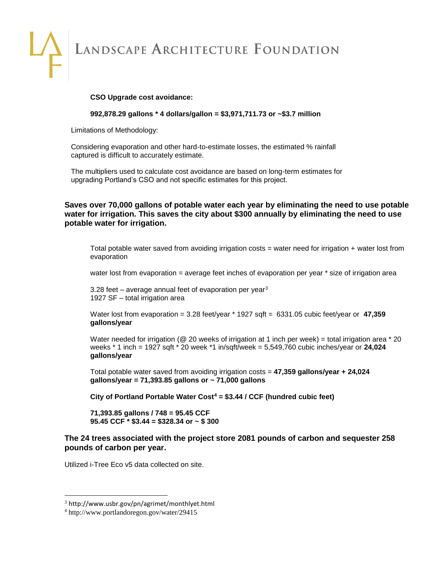#### **CSO Upgrade cost avoidance:**

**992,878.29 gallons \* 4 dollars/gallon = \$3,971,711.73 or ~\$3.7 million**

Limitations of Methodology:

Considering evaporation and other hard-to-estimate losses, the estimated % rainfall captured is difficult to accurately estimate.

The multipliers used to calculate cost avoidance are based on long-term estimates for upgrading Portland's CSO and not specific estimates for this project.

**Saves over 70,000 gallons of potable water each year by eliminating the need to use potable water for irrigation. This saves the city about \$300 annually by eliminating the need to use potable water for irrigation.**

Total potable water saved from avoiding irrigation costs = water need for irrigation + water lost from evaporation

water lost from evaporation = average feet inches of evaporation per year \* size of irrigation area

3.28 feet – average annual feet of evaporation per year $3$ 1927 SF – total irrigation area

Water lost from evaporation = 3.28 feet/year \* 1927 sqft = 6331.05 cubic feet/year or **47,359 gallons/year**

Water needed for irrigation ( $@$  20 weeks of irrigation at 1 inch per week) = total irrigation area  $*$  20 weeks \* 1 inch = 1927 sqft \* 20 week \*1 in/sqft/week = 5,549,760 cubic inches/year or **24,024 gallons/year**

Total potable water saved from avoiding irrigation costs = **47,359 gallons/year + 24,024 gallons/year = 71,393.85 gallons or ~ 71,000 gallons**

**City of Portland Portable Water Cost<sup>4</sup> = \$3.44 / CCF (hundred cubic feet)**

**71,393.85 gallons / 748 = 95.45 CCF 95.45 CCF \* \$3.44 = \$328.34 or ~ \$ 300**

**The 24 trees associated with the project store 2081 pounds of carbon and sequester 258 pounds of carbon per year.**

Utilized i-Tree Eco v5 data collected on site.

<sup>3</sup> http://www.usbr.gov/pn/agrimet/monthlyet.html

<sup>4</sup> http://www.portlandoregon.gov/water/29415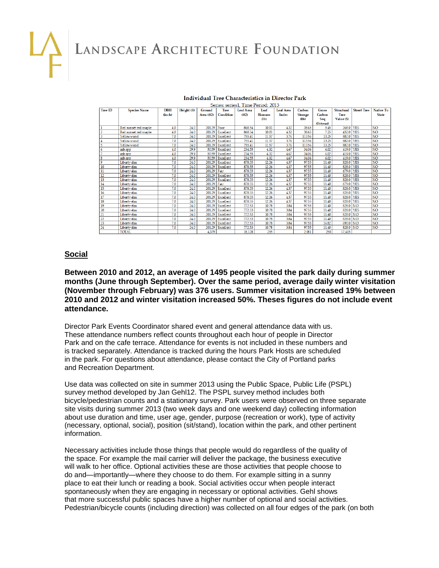#### **Individual Tree Characteristics in Director Park** Series: series1, Time Period: 2013

| Tree ID         | <b>Species Name</b>    | <b>DBH</b> | Height (ft) | Ground     | <b>Tree</b> | Leaf Area | Leaf           | <b>Leaf Area</b> | Carbon         | Gross     | <b>Structural</b> | <b>Street Tree</b> | Native To       |
|-----------------|------------------------|------------|-------------|------------|-------------|-----------|----------------|------------------|----------------|-----------|-------------------|--------------------|-----------------|
|                 |                        | (inch)     |             | Area (ft2) | Condition   | (ff(2))   | <b>Biomass</b> | Index            | <b>Storage</b> | Carbon    | <b>Tree</b>       |                    | <b>State</b>    |
|                 |                        |            |             |            |             |           | $(b)$          |                  | (lb)           | Seq       | Value (S)         |                    |                 |
|                 |                        |            |             |            |             |           |                |                  |                | (lb/year) |                   |                    |                 |
|                 | Red sunset red maple   | 4.0        | 24.0        | 20129      | Poor        | 868.54    | 10.01          | 4.32             | 38.65          | 5.45      | 268.0 YES         |                    | NO <sub>1</sub> |
|                 | Red sunset red maple   | 4.0        | 24.0        | 20129      | Excellent   | 868.54    | 10.01          | 432              | 38.65          | 7.25      | 432.0 YES         |                    | <b>NO</b>       |
|                 | Yellowwood             | 7.0        | 24.0        | 20129      | Excellent   | 755.41    | 11.57          | 3.76             | 113.56         | 13.25     | 882.0 YES         |                    | <b>NO</b>       |
| 4               | Yellowwood             | 7.0        | 24.0        | 20129      | Excellent   | 755.41    | 11.57          | 3.76             | 113.56         | 13.25     | 882.0 YES         |                    | <b>NO</b>       |
| 5               | Yellowwood             | 7.0        | 24.0        | 20129      | Excellent   | 755.41    | 11.57          | 3.76             | 113.56         | 13.25     | 882.0 YES         |                    | <b>NO</b>       |
| 6               | ash spp                | 4.0        | 29.9        | 50.59      | Excellent   | 234.55    | 4.32           | 467              | 34.06          | 6.02      | 419.0 YES         |                    | <b>NO</b>       |
|                 | ash spp                | 4.0        | 29.9        | 50.59      | Excellent   | 234.55    | 4.32           | 4.67             | 34.06          | 6.02      | 419.0 YES         |                    | <b>NO</b>       |
| 8               | ash spp                | 4.0        | 29.9        | 50.59      | Excellent   | 234.55    | 4.32           | 467              | 34.06          | 6.02      | 419.0 YES         |                    | <b>NO</b>       |
| 9               | Liberty dm             | 7.0        | 24.0        | 20129      | Excellent   | 878.55    | 12.26          | 437              | 97.55          | 11.40     | 828.0 YES         |                    | <b>NO</b>       |
| 10              | Liberty <sub>dm</sub>  | 7.0        | 24.0        | 20129      | Excellent   | 878.55    | 12.26          | 437              | 97.55          | 11.40     | 828.0 YES         |                    | <b>NO</b>       |
| 11              | Liberty dm             | 7.0        | 24.0        | 20129      | Fair        | 878.55    | 12.26          | 4.37             | 97.55          | 11.40     | 679.0 YES         |                    | <b>NO</b>       |
| 12              | Liberty <sub>d</sub> m | 7.0        | 24.0        | 20129      | Excellent   | 878.55    | 12.26          | 437              | 97.55          | 11.40     | 828.0 YES         |                    | <b>NO</b>       |
| 13              | Liberty <sub>dm</sub>  | 7.0        | 24.0        | 20129      | Excellent   | 878.55    | 12.26          | 437              | 97.55          | 11.40     | 828.0 YES         |                    | <b>NO</b>       |
| 14              | Liberty dm             | 7.0        | 24.0        | 20129      | Fair        | 878.55    | 12.26          | 4.37             | 97.55          | 11.40     | 679.0 YES         |                    | <b>NO</b>       |
| 15              | Liberty <sub>dm</sub>  | 7.0        | 24.0        | 20129      | Excellent   | 878.55    | 12.26          | 4.37             | 97.55          | 11.40     | 828.0             | <b>YES</b>         | <b>NO</b>       |
| 16              | Liberty <sub>dm</sub>  | 7.0        | 24.0        | 20129      | Excellent   | 878.55    | 12.26          | 437              | 97.55          | 11.40     | 828.0 YES         |                    | <b>NO</b>       |
| 17              | Liberty <sub>dm</sub>  | 7.0        | 24.0        | 20129      | Excellent   | 878.55    | 12.26          | 437              | 97.55          | 11.40     | 828.0 YES         |                    | <b>NO</b>       |
| 18              | Liberty dm             | 7.0        | 24.0        | 20129      | Excellent   | 878.55    | 12.26          | 4.37             | 97.55          | 11.40     | 828.0 YES         |                    | <b>NO</b>       |
| 19              | Liberty dm             | 7.0        | 24.0        | 20129      | Excellent   | 772.53    | 10.78          | 3.84             | 97.55          | 11.40     | 828.0 NO          |                    | <b>NO</b>       |
| 20              | Liberty dm             | 7.0        | 24.0        | 20129      | Excellent   | 772.53    | 10.78          | 3.84             | 97.55          | 11.40     | 828.0 YES         |                    | <b>NO</b>       |
| 21              | Liberty dm             | 7.0        | 24.0        | 20129      | Excellent   | 772.53    | 10.78          | 3.84             | 97.55          | 11.40     | 828.0 NO          |                    | <b>NO</b>       |
| $\overline{22}$ | Liberty <sub>dm</sub>  | 7.0        | 24.0        | 20129      | Excellent   | 772.53    | 10.78          | 3.84             | 97.55          | 11.40     | 828.0 NO          |                    | <b>NO</b>       |
| $\overline{23}$ | Liberty dm             | 7.0        | 24.0        | 20129      | Excellent   | 772.53    | 10.78          | 3.84             | 97.55          | 16.82     | 690.0 NO          |                    | <b>NO</b>       |
| $\overline{24}$ | Liberty <sub>dm</sub>  | 7.0        | 24.0        | 20129      | Excellent   | 772.53    | 10.78          | 3.84             | 97.55          | 11.40     | 828.0 NO          |                    | NO <sub>1</sub> |
|                 | <b>TOTAL</b>           |            |             | 4.379      |             | 18 128    | 255            |                  | 2081           | 258       | 17.415            |                    |                 |

### **Social**

**Between 2010 and 2012, an average of 1495 people visited the park daily during summer months (June through September). Over the same period, average daily winter visitation (November through February) was 376 users. Summer visitation increased 19% between 2010 and 2012 and winter visitation increased 50%. Theses figures do not include event attendance.**

Director Park Events Coordinator shared event and general attendance data with us. These attendance numbers reflect counts throughout each hour of people in Director Park and on the cafe terrace. Attendance for events is not included in these numbers and is tracked separately. Attendance is tracked during the hours Park Hosts are scheduled in the park. For questions about attendance, please contact the City of Portland parks and Recreation Department.

Use data was collected on site in summer 2013 using the Public Space, Public Life (PSPL) survey method developed by Jan Gehl12. The PSPL survey method includes both bicycle/pedestrian counts and a stationary survey. Park users were observed on three separate site visits during summer 2013 (two week days and one weekend day) collecting information about use duration and time, user age, gender, purpose (recreation or work), type of activity (necessary, optional, social), position (sit/stand), location within the park, and other pertinent information.

Necessary activities include those things that people would do regardless of the quality of the space. For example the mail carrier will deliver the package, the business executive will walk to her office. Optional activities these are those activities that people choose to do and—importantly—where they choose to do them. For example sitting in a sunny place to eat their lunch or reading a book. Social activities occur when people interact spontaneously when they are engaging in necessary or optional activities. Gehl shows that more successful public spaces have a higher number of optional and social activities. Pedestrian/bicycle counts (including direction) was collected on all four edges of the park (on both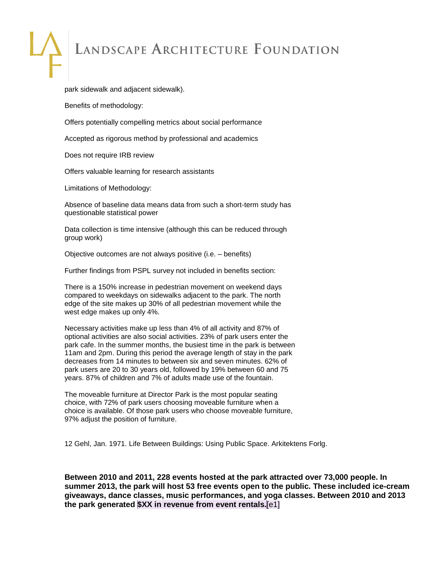park sidewalk and adjacent sidewalk).

Benefits of methodology:

Offers potentially compelling metrics about social performance

Accepted as rigorous method by professional and academics

Does not require IRB review

Offers valuable learning for research assistants

Limitations of Methodology:

Absence of baseline data means data from such a short-term study has questionable statistical power

Data collection is time intensive (although this can be reduced through group work)

Objective outcomes are not always positive (i.e. – benefits)

Further findings from PSPL survey not included in benefits section:

There is a 150% increase in pedestrian movement on weekend days compared to weekdays on sidewalks adjacent to the park. The north edge of the site makes up 30% of all pedestrian movement while the west edge makes up only 4%.

Necessary activities make up less than 4% of all activity and 87% of optional activities are also social activities. 23% of park users enter the park cafe. In the summer months, the busiest time in the park is between 11am and 2pm. During this period the average length of stay in the park decreases from 14 minutes to between six and seven minutes. 62% of park users are 20 to 30 years old, followed by 19% between 60 and 75 years. 87% of children and 7% of adults made use of the fountain.

The moveable furniture at Director Park is the most popular seating choice, with 72% of park users choosing moveable furniture when a choice is available. Of those park users who choose moveable furniture, 97% adjust the position of furniture.

12 Gehl, Jan. 1971. Life Between Buildings: Using Public Space. Arkitektens Forlg.

**Between 2010 and 2011, 228 events hosted at the park attracted over 73,000 people. In summer 2013, the park will host 53 free events open to the public. These included ice-cream giveaways, dance classes, music performances, and yoga classes. Between 2010 and 2013 the park generated \$XX in revenue from event rentals.**[e1]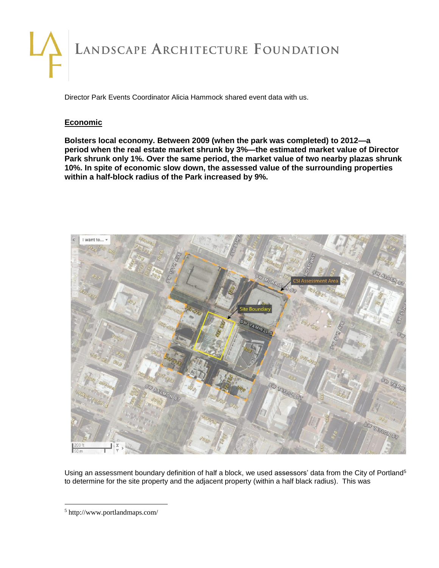Director Park Events Coordinator Alicia Hammock shared event data with us.

### **Economic**

**Bolsters local economy. Between 2009 (when the park was completed) to 2012—a period when the real estate market shrunk by 3%—the estimated market value of Director Park shrunk only 1%. Over the same period, the market value of two nearby plazas shrunk 10%. In spite of economic slow down, the assessed value of the surrounding properties within a half-block radius of the Park increased by 9%.**



Using an assessment boundary definition of half a block, we used assessors' data from the City of Portland<sup>5</sup> to determine for the site property and the adjacent property (within a half black radius). This was

<sup>5</sup> http://www.portlandmaps.com/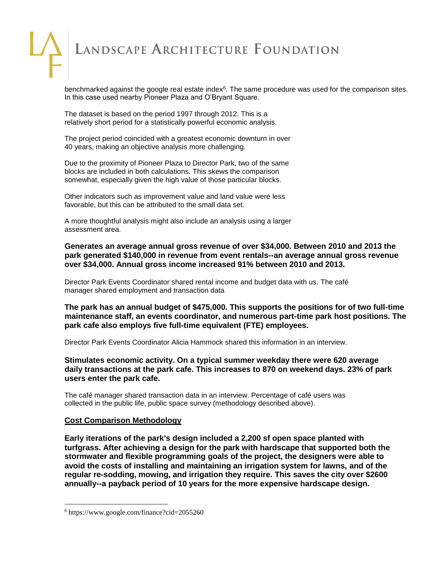benchmarked against the google real estate index<sup>6</sup>. The same procedure was used for the comparison sites. In this case used nearby Pioneer Plaza and O'Bryant Square.

The dataset is based on the period 1997 through 2012. This is a relatively short period for a statistically powerful economic analysis.

The project period coincided with a greatest economic downturn in over 40 years, making an objective analysis more challenging.

Due to the proximity of Pioneer Plaza to Director Park, two of the same blocks are included in both calculations. This skews the comparison somewhat, especially given the high value of those particular blocks.

Other indicators such as improvement value and land value were less favorable, but this can be attributed to the small data set.

A more thoughtful analysis might also include an analysis using a larger assessment area.

**Generates an average annual gross revenue of over \$34,000. Between 2010 and 2013 the park generated \$140,000 in revenue from event rentals--an average annual gross revenue over \$34,000. Annual gross income increased 91% between 2010 and 2013.**

Director Park Events Coordinator shared rental income and budget data with us. The café manager shared employment and transaction data

**The park has an annual budget of \$475,000. This supports the positions for of two full-time maintenance staff, an events coordinator, and numerous part-time park host positions. The park cafe also employs five full-time equivalent (FTE) employees.**

Director Park Events Coordinator Alicia Hammock shared this information in an interview.

### **Stimulates economic activity. On a typical summer weekday there were 620 average daily transactions at the park cafe. This increases to 870 on weekend days. 23% of park users enter the park cafe.**

The café manager shared transaction data in an interview. Percentage of café users was collected in the public life, public space survey (methodology described above).

### **Cost Comparison Methodology**

**Early iterations of the park's design included a 2,200 sf open space planted with turfgrass. After achieving a design for the park with hardscape that supported both the stormwater and flexible programming goals of the project, the designers were able to avoid the costs of installing and maintaining an irrigation system for lawns, and of the regular re-sodding, mowing, and irrigation they require. This saves the city over \$2600 annually--a payback period of 10 years for the more expensive hardscape design.**

<sup>6</sup> https://www.google.com/finance?cid=2055260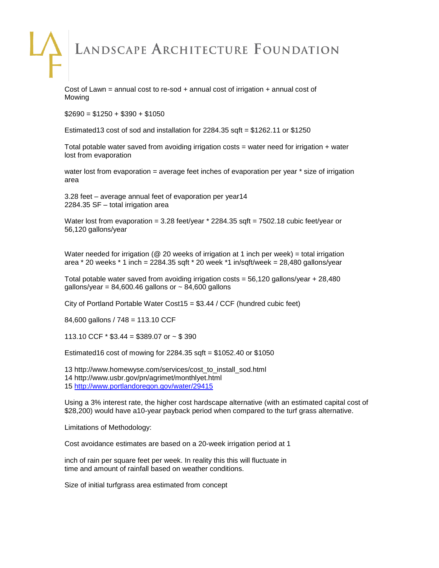Cost of Lawn = annual cost to re-sod  $+$  annual cost of irrigation  $+$  annual cost of Mowing

 $$2690 = $1250 + $390 + $1050$ 

Estimated13 cost of sod and installation for 2284.35 sqft = \$1262.11 or \$1250

Total potable water saved from avoiding irrigation costs  $=$  water need for irrigation  $+$  water lost from evaporation

water lost from evaporation = average feet inches of evaporation per year \* size of irrigation area

3.28 feet – average annual feet of evaporation per year14 2284.35 SF – total irrigation area

Water lost from evaporation =  $3.28$  feet/year  $*$  2284.35 sqft =  $7502.18$  cubic feet/year or 56,120 gallons/year

Water needed for irrigation ( $@$  20 weeks of irrigation at 1 inch per week) = total irrigation area  $*$  20 weeks  $*$  1 inch = 2284.35 sqft  $*$  20 week  $*$ 1 in/sqft/week = 28,480 gallons/year

Total potable water saved from avoiding irrigation costs = 56,120 gallons/year + 28,480 gallons/year =  $84,600.46$  gallons or  $\sim 84,600$  gallons

City of Portland Portable Water Cost15 = \$3.44 / CCF (hundred cubic feet)

84,600 gallons / 748 = 113.10 CCF

113.10 CCF  $*$  \$3.44 = \$389.07 or  $\sim$  \$390

Estimated16 cost of mowing for 2284.35 sqft = \$1052.40 or \$1050

13 http://www.homewyse.com/services/cost\_to\_install\_sod.html 14 http://www.usbr.gov/pn/agrimet/monthlyet.html 15<http://www.portlandoregon.gov/water/29415>

Using a 3% interest rate, the higher cost hardscape alternative (with an estimated capital cost of \$28,200) would have a10-year payback period when compared to the turf grass alternative.

Limitations of Methodology:

Cost avoidance estimates are based on a 20-week irrigation period at 1

inch of rain per square feet per week. In reality this this will fluctuate in time and amount of rainfall based on weather conditions.

Size of initial turfgrass area estimated from concept